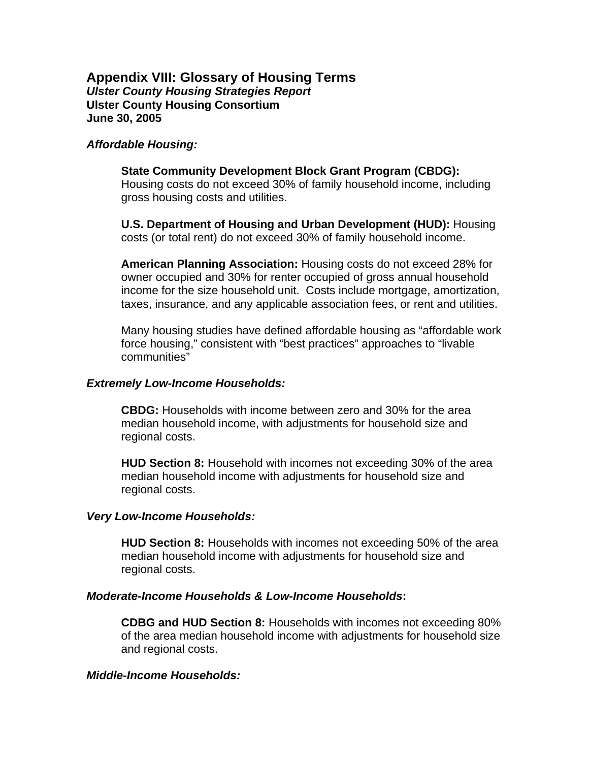# **Appendix VIII: Glossary of Housing Terms**  *Ulster County Housing Strategies Report*  **Ulster County Housing Consortium June 30, 2005**

# *Affordable Housing:*

**State Community Development Block Grant Program (CBDG):** Housing costs do not exceed 30% of family household income, including gross housing costs and utilities.

**U.S. Department of Housing and Urban Development (HUD):** Housing costs (or total rent) do not exceed 30% of family household income.

**American Planning Association:** Housing costs do not exceed 28% for owner occupied and 30% for renter occupied of gross annual household income for the size household unit. Costs include mortgage, amortization, taxes, insurance, and any applicable association fees, or rent and utilities.

Many housing studies have defined affordable housing as "affordable work force housing," consistent with "best practices" approaches to "livable communities"

## *Extremely Low-Income Households:*

**CBDG:** Households with income between zero and 30% for the area median household income, with adjustments for household size and regional costs.

**HUD Section 8:** Household with incomes not exceeding 30% of the area median household income with adjustments for household size and regional costs.

## *Very Low-Income Households:*

**HUD Section 8:** Households with incomes not exceeding 50% of the area median household income with adjustments for household size and regional costs.

### *Moderate-Income Households & Low-Income Households***:**

**CDBG and HUD Section 8:** Households with incomes not exceeding 80% of the area median household income with adjustments for household size and regional costs.

## *Middle-Income Households:*